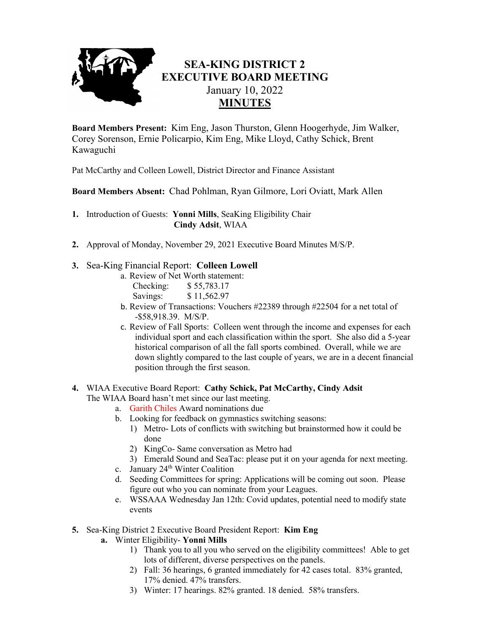

## **SEA-KING DISTRICT 2 EXECUTIVE BOARD MEETING** January 10, 2022 **MINUTES**

**Board Members Present:** Kim Eng, Jason Thurston, Glenn Hoogerhyde, Jim Walker, Corey Sorenson, Ernie Policarpio, Kim Eng, Mike Lloyd, Cathy Schick, Brent Kawaguchi

Pat McCarthy and Colleen Lowell, District Director and Finance Assistant

**Board Members Absent:** Chad Pohlman, Ryan Gilmore, Lori Oviatt, Mark Allen

**1.** Introduction of Guests: **Yonni Mills**, SeaKing Eligibility Chair **Cindy Adsit**, WIAA

**2.** Approval of Monday, November 29, 2021 Executive Board Minutes M/S/P.

## **3.** Sea-King Financial Report: **Colleen Lowell**

- a. Review of Net Worth statement: Checking: \$ 55,783.17
	- Savings: \$11,562.97
- b. Review of Transactions: Vouchers #22389 through #22504 for a net total of -\$58,918.39. M/S/P.
- c. Review of Fall Sports: Colleen went through the income and expenses for each individual sport and each classification within the sport. She also did a 5-year historical comparison of all the fall sports combined. Overall, while we are down slightly compared to the last couple of years, we are in a decent financial position through the first season.

## **4.** WIAA Executive Board Report: **Cathy Schick, Pat McCarthy, Cindy Adsit**

The WIAA Board hasn't met since our last meeting.

- a. Garith Chiles Award nominations due
- b. Looking for feedback on gymnastics switching seasons:
	- 1) Metro- Lots of conflicts with switching but brainstormed how it could be done
	- 2) KingCo- Same conversation as Metro had
	- 3) Emerald Sound and SeaTac: please put it on your agenda for next meeting.
- c. January  $24<sup>th</sup>$  Winter Coalition
- d. Seeding Committees for spring: Applications will be coming out soon. Please figure out who you can nominate from your Leagues.
- e. WSSAAA Wednesday Jan 12th: Covid updates, potential need to modify state events

**5.** Sea-King District 2 Executive Board President Report: **Kim Eng**

- **a.** Winter Eligibility- **Yonni Mills**
	- 1) Thank you to all you who served on the eligibility committees! Able to get lots of different, diverse perspectives on the panels.
	- 2) Fall: 36 hearings, 6 granted immediately for 42 cases total. 83% granted, 17% denied. 47% transfers.
	- 3) Winter: 17 hearings. 82% granted. 18 denied. 58% transfers.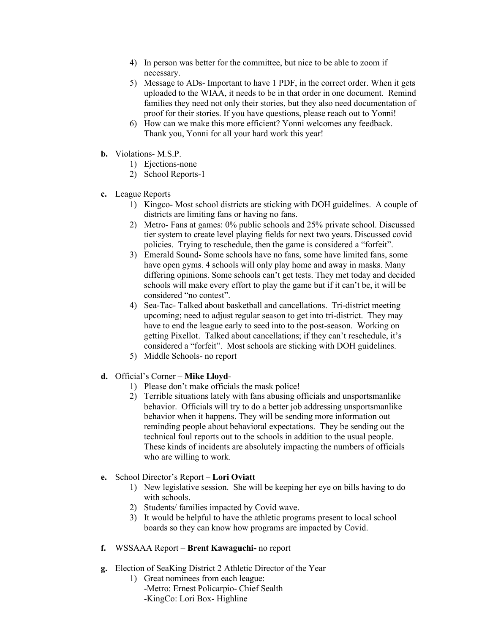- 4) In person was better for the committee, but nice to be able to zoom if necessary.
- 5) Message to ADs- Important to have 1 PDF, in the correct order. When it gets uploaded to the WIAA, it needs to be in that order in one document. Remind families they need not only their stories, but they also need documentation of proof for their stories. If you have questions, please reach out to Yonni!
- 6) How can we make this more efficient? Yonni welcomes any feedback. Thank you, Yonni for all your hard work this year!
- **b.** Violations- M.S.P.
	- 1) Ejections-none
	- 2) School Reports-1
- **c.** League Reports
	- 1) Kingco- Most school districts are sticking with DOH guidelines. A couple of districts are limiting fans or having no fans.
	- 2) Metro- Fans at games: 0% public schools and 25% private school. Discussed tier system to create level playing fields for next two years. Discussed covid policies. Trying to reschedule, then the game is considered a "forfeit".
	- 3) Emerald Sound- Some schools have no fans, some have limited fans, some have open gyms. 4 schools will only play home and away in masks. Many differing opinions. Some schools can't get tests. They met today and decided schools will make every effort to play the game but if it can't be, it will be considered "no contest".
	- 4) Sea-Tac- Talked about basketball and cancellations. Tri-district meeting upcoming; need to adjust regular season to get into tri-district. They may have to end the league early to seed into to the post-season. Working on getting Pixellot. Talked about cancellations; if they can't reschedule, it's considered a "forfeit". Most schools are sticking with DOH guidelines.
	- 5) Middle Schools- no report
- **d.** Official's Corner **Mike Lloyd**-
	- 1) Please don't make officials the mask police!
	- 2) Terrible situations lately with fans abusing officials and unsportsmanlike behavior. Officials will try to do a better job addressing unsportsmanlike behavior when it happens. They will be sending more information out reminding people about behavioral expectations. They be sending out the technical foul reports out to the schools in addition to the usual people. These kinds of incidents are absolutely impacting the numbers of officials who are willing to work.
- **e.** School Director's Report **Lori Oviatt**
	- 1) New legislative session. She will be keeping her eye on bills having to do with schools.
	- 2) Students/ families impacted by Covid wave.
	- 3) It would be helpful to have the athletic programs present to local school boards so they can know how programs are impacted by Covid.
- **f.** WSSAAA Report **Brent Kawaguchi-** no report
- **g.** Election of SeaKing District 2 Athletic Director of the Year
	- 1) Great nominees from each league: -Metro: Ernest Policarpio- Chief Sealth -KingCo: Lori Box- Highline